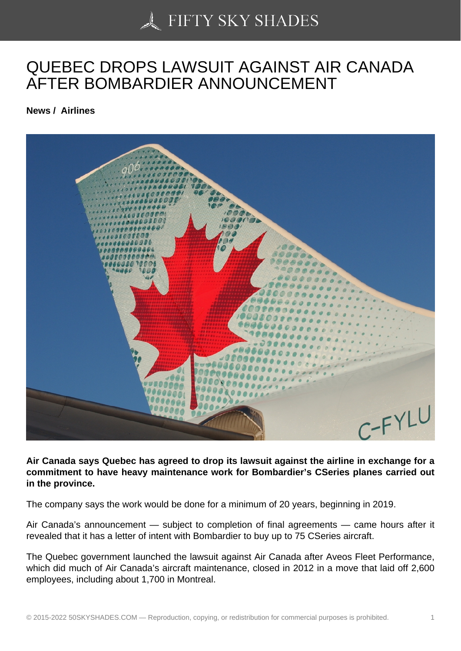## [QUEBEC DROPS LAW](https://50skyshades.com)SUIT AGAINST AIR CANADA AFTER BOMBARDIER ANNOUNCEMENT

News / Airlines

Air Canada says Quebec has agreed to drop its lawsuit against the airline in exchange for a commitment to have heavy maintenance work for Bombardier's CSeries planes carried out in the province.

The company says the work would be done for a minimum of 20 years, beginning in 2019.

Air Canada's announcement — subject to completion of final agreements — came hours after it revealed that it has a letter of intent with Bombardier to buy up to 75 CSeries aircraft.

The Quebec government launched the lawsuit against Air Canada after Aveos Fleet Performance, which did much of Air Canada's aircraft maintenance, closed in 2012 in a move that laid off 2,600 employees, including about 1,700 in Montreal.